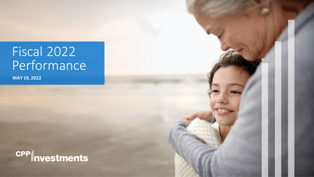# Fiscal 2022 Performance

**MAY 19, 2022**

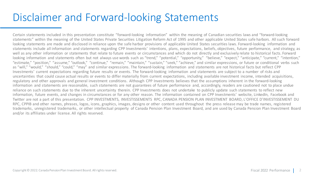### Disclaimer and Forward-looking Statements

Certain statements included in this presentation constitute "forward-looking information" within the meaning of Canadian securities laws and "forward-looking statements" within the meaning of the United States Private Securities Litigation Reform Act of 1995 and other applicable United States safe harbors. All such forward looking statements are made and disclosed in reliance upon the safe harbor provisions of applicable United States securities laws. Forward-looking information and statements include all information and statements regarding CPP Investments' intentions, plans, expectations, beliefs, objectives, future performance, and strategy, as well as any other information or statements that relate to future events or circumstances and which do not directly and exclusively relate to historical facts. Forward looking information and statements often but not always use words such as "trend," "potential," "opportunity," "believe," "expect," "anticipate," "current," "intention," "estimate," "position," "assume," "outlook," "continue," "remain," "maintain," "sustain," "seek," "achieve," and similar expressions, or future or conditional verbs such as "will," "would," "should," "could," "may" and similar expressions. The forward-looking information and statements are not historical facts but reflect CPP Investments' current expectations regarding future results or events. The forward-looking information and statements are subject to a number of risks and uncertainties that could cause actual results or events to differ materially from current expectations, including available investment income, intended acquisitions, regulatory and other approvals and general investment conditions. Although CPP Investments believes that the assumptions inherent in the forward-looking information and statements are reasonable, such statements are not guarantees of future performance and, accordingly, readers are cautioned not to place undue reliance on such statements due to the inherent uncertainty therein. CPP Investments does not undertake to publicly update such statements to reflect new information, future events, and changes in circumstances or for any other reason. The information contained on CPP Investments' website, LinkedIn, Facebook and Twitter are not a part of this presentation. CPP INVESTMENTS, INVESTISSEMENTS RPC, CANADA PENSION PLAN INVESTMENT BOARD, L'OFFICE D'INVESTISSEMENT DU RPC, CPPIB and other names, phrases, logos, icons, graphics, images, designs or other content used throughout the press release may be trade names, registered trademarks, unregistered trademarks, or other intellectual property of Canada Pension Plan Investment Board, and are used by Canada Pension Plan Investment Board and/or its affiliates under license. All rights reserved.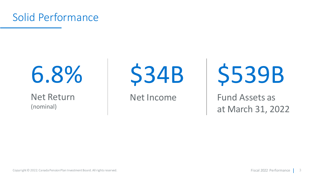

# 6.8%

### Net Return (nominal)

\$34B

Net Income

\$539B

Fund Assets as at March 31, 2022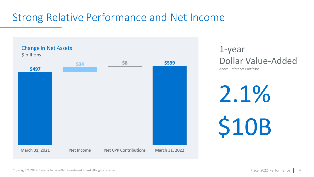# Strong Relative Performance and Net Income



1-year Dollar Value-Added

Above Reference Portfolios

2.1% \$10B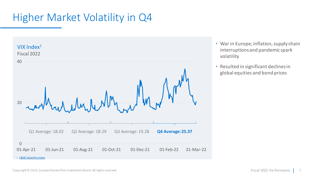# Higher Market Volatility in Q4



- War in Europe, inflation, supply chain interruptions and pandemic spark volatility
- Resulted in significant declines in global equities and bond prices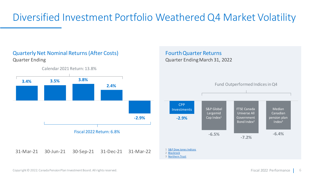# Diversified Investment Portfolio Weathered Q4 Market Volatility

Fourth Quarter Returns

Quarter Ending March 31, 2022

#### Quarterly Net Nominal Returns (After Costs) Quarter Ending

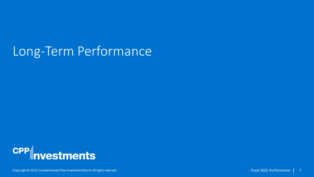# Long-Term Performance

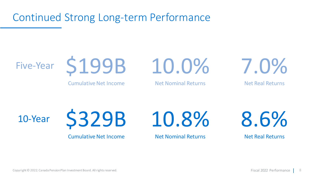Continued Strong Long-term Performance





Cumulative Net Income

Net Nominal Returns

10.0%

7.0%

Net Real Returns

10-Year



Cumulative Net Income

10.8%

Net Nominal Returns

8.6%

Net Real Returns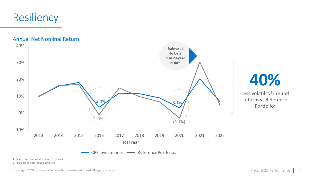# Resiliency

Annual Net Nominal Return



1 Based on standard deviation of returns

2 Aggregated Reference Portfolios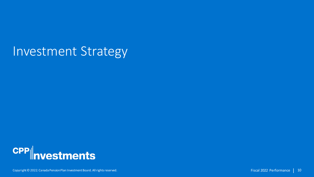# Investment Strategy

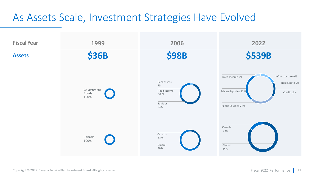### As Assets Scale, Investment Strategies Have Evolved

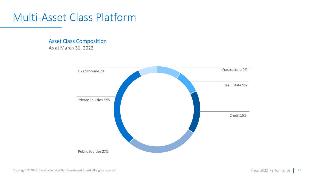### Multi-Asset Class Platform

Asset Class Composition As at March 31, 2022

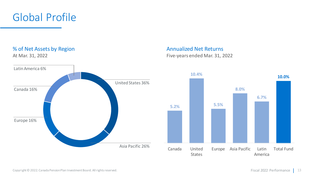



#### Annualized Net Returns Five-years ended Mar. 31, 2022

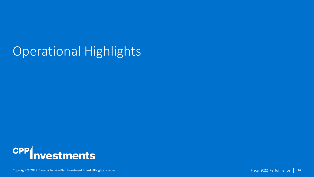# Operational Highlights

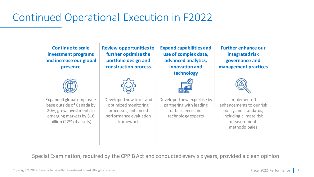# Continued Operational Execution in F2022

**Continue to scale investment programs and increase our global presence**



Expanded global employee base outside of Canada by 20%; grew investments in emerging markets by \$16 billion (22% of assets)

**Review opportunities to further optimize the portfolio design and construction process**



Developed new tools and optimized monitoring processes; enhanced performance evaluation framework

**Expand capabilities and use of complex data, advanced analytics, innovation and technology**



Developed new expertise by partnering with leading data science and technology experts

**Further enhance our integrated risk governance and management practices**



Implemented enhancements to our risk policy and standards, including climate risk measurement methodologies

Special Examination, required by the CPPIB Act and conducted every six years, provided a clean opinion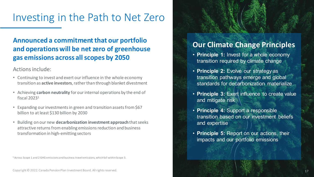### Investing in the Path to Net Zero

#### **Announced a commitment that our portfolio and operations will be net zero of greenhouse gas emissions across all scopes by 2050**

Actions include:

- Continuing to invest and exert our influence in the whole economy transition as **active investors**, rather than through blanket divestment
- Achieving **carbon neutrality** for our internal operations by the end of fiscal  $2023<sup>1</sup>$
- Expanding our investments in green and transition assets from \$67 billion to at least \$130 billion by 2030
- Building on our new **decarbonization investment approach** that seeks attractive returns from enabling emissions reduction and business transformation in high-emitting sectors

1 Across Scope 1 and 2 GHG emissions and business travel emissions, which fall within Scope 3.

### **Our Climate Change Principles**

- **Principle 1:** Invest for a whole economy transition required by climate change
- **Principle 2:** Evolve our strategy as transition pathways emerge and global standards for decarbonization materialize
- **Principle 3:** Exert influence to create value and mitigate risk
- **Principle 4:** Support a responsible transition based on our investment beliefs and expertise
- **Principle 5:** Report on our actions, their impacts and our portfolio emissions